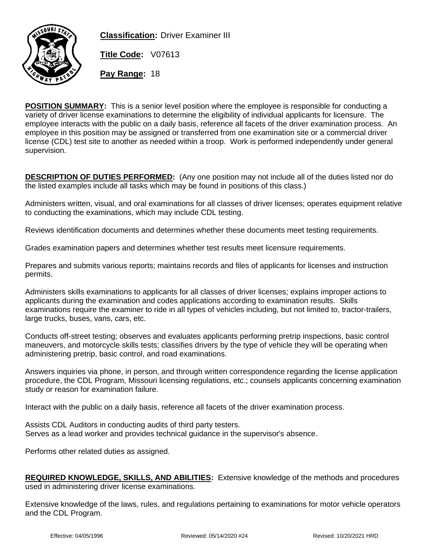

**Classification:** Driver Examiner III

**Title Code:** V07613

**Pay Range:** 18

**POSITION SUMMARY:** This is a senior level position where the employee is responsible for conducting a variety of driver license examinations to determine the eligibility of individual applicants for licensure. The employee interacts with the public on a daily basis, reference all facets of the driver examination process. An employee in this position may be assigned or transferred from one examination site or a commercial driver license (CDL) test site to another as needed within a troop. Work is performed independently under general supervision.

**DESCRIPTION OF DUTIES PERFORMED:** (Any one position may not include all of the duties listed nor do the listed examples include all tasks which may be found in positions of this class.)

Administers written, visual, and oral examinations for all classes of driver licenses; operates equipment relative to conducting the examinations, which may include CDL testing.

Reviews identification documents and determines whether these documents meet testing requirements.

Grades examination papers and determines whether test results meet licensure requirements.

Prepares and submits various reports; maintains records and files of applicants for licenses and instruction permits.

Administers skills examinations to applicants for all classes of driver licenses; explains improper actions to applicants during the examination and codes applications according to examination results. Skills examinations require the examiner to ride in all types of vehicles including, but not limited to, tractor-trailers, large trucks, buses, vans, cars, etc.

Conducts off-street testing; observes and evaluates applicants performing pretrip inspections, basic control maneuvers, and motorcycle skills tests; classifies drivers by the type of vehicle they will be operating when administering pretrip, basic control, and road examinations.

Answers inquiries via phone, in person, and through written correspondence regarding the license application procedure, the CDL Program, Missouri licensing regulations, etc.; counsels applicants concerning examination study or reason for examination failure.

Interact with the public on a daily basis, reference all facets of the driver examination process.

Assists CDL Auditors in conducting audits of third party testers. Serves as a lead worker and provides technical guidance in the supervisor's absence.

Performs other related duties as assigned.

**REQUIRED KNOWLEDGE, SKILLS, AND ABILITIES:** Extensive knowledge of the methods and procedures used in administering driver license examinations.

Extensive knowledge of the laws, rules, and regulations pertaining to examinations for motor vehicle operators and the CDL Program.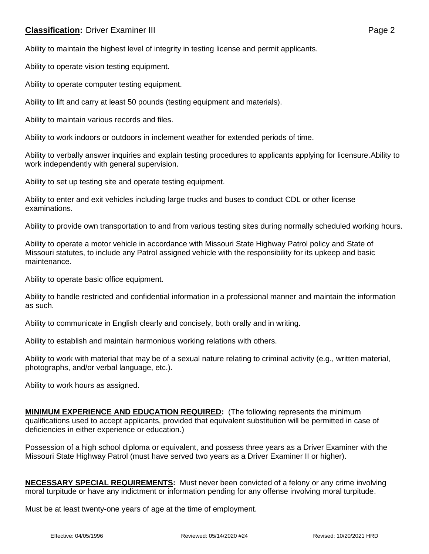## **Classification:** Driver Examiner III **Classification:** Page 2

Ability to maintain the highest level of integrity in testing license and permit applicants.

Ability to operate vision testing equipment.

Ability to operate computer testing equipment.

Ability to lift and carry at least 50 pounds (testing equipment and materials).

Ability to maintain various records and files.

Ability to work indoors or outdoors in inclement weather for extended periods of time.

Ability to verbally answer inquiries and explain testing procedures to applicants applying for licensure.Ability to work independently with general supervision.

Ability to set up testing site and operate testing equipment.

Ability to enter and exit vehicles including large trucks and buses to conduct CDL or other license examinations.

Ability to provide own transportation to and from various testing sites during normally scheduled working hours.

Ability to operate a motor vehicle in accordance with Missouri State Highway Patrol policy and State of Missouri statutes, to include any Patrol assigned vehicle with the responsibility for its upkeep and basic maintenance.

Ability to operate basic office equipment.

Ability to handle restricted and confidential information in a professional manner and maintain the information as such.

Ability to communicate in English clearly and concisely, both orally and in writing.

Ability to establish and maintain harmonious working relations with others.

Ability to work with material that may be of a sexual nature relating to criminal activity (e.g., written material, photographs, and/or verbal language, etc.).

Ability to work hours as assigned.

**MINIMUM EXPERIENCE AND EDUCATION REQUIRED:** (The following represents the minimum qualifications used to accept applicants, provided that equivalent substitution will be permitted in case of deficiencies in either experience or education.)

Possession of a high school diploma or equivalent, and possess three years as a Driver Examiner with the Missouri State Highway Patrol (must have served two years as a Driver Examiner II or higher).

**NECESSARY SPECIAL REQUIREMENTS:** Must never been convicted of a felony or any crime involving moral turpitude or have any indictment or information pending for any offense involving moral turpitude.

Must be at least twenty-one years of age at the time of employment.